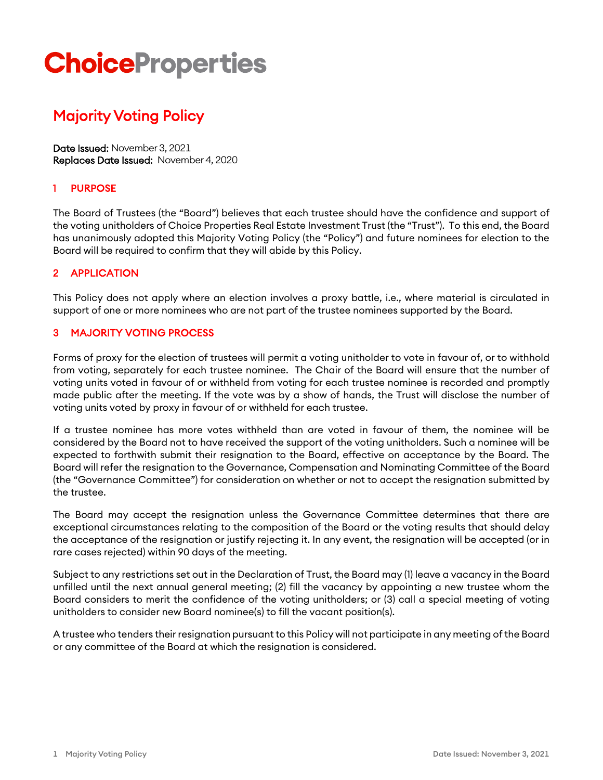# **ChoiceProperties**

# Majority Voting Policy

Date Issued: November 3, 2021 Replaces Date Issued: November 4, 2020

### 1 PURPOSE

The Board of Trustees (the "Board") believes that each trustee should have the confidence and support of the voting unitholders of Choice Properties Real Estate Investment Trust (the "Trust"). To this end, the Board has unanimously adopted this Majority Voting Policy (the "Policy") and future nominees for election to the Board will be required to confirm that they will abide by this Policy.

#### 2 APPLICATION

This Policy does not apply where an election involves a proxy battle, i.e., where material is circulated in support of one or more nominees who are not part of the trustee nominees supported by the Board.

#### **MAJORITY VOTING PROCESS**

Forms of proxy for the election of trustees will permit a voting unitholder to vote in favour of, or to withhold from voting, separately for each trustee nominee. The Chair of the Board will ensure that the number of voting units voted in favour of or withheld from voting for each trustee nominee is recorded and promptly made public after the meeting. If the vote was by a show of hands, the Trust will disclose the number of voting units voted by proxy in favour of or withheld for each trustee.

If a trustee nominee has more votes withheld than are voted in favour of them, the nominee will be considered by the Board not to have received the support of the voting unitholders. Such a nominee will be expected to forthwith submit their resignation to the Board, effective on acceptance by the Board. The Board will refer the resignation to the Governance, Compensation and Nominating Committee of the Board (the "Governance Committee") for consideration on whether or not to accept the resignation submitted by the trustee.

The Board may accept the resignation unless the Governance Committee determines that there are exceptional circumstances relating to the composition of the Board or the voting results that should delay the acceptance of the resignation or justify rejecting it. In any event, the resignation will be accepted (or in rare cases rejected) within 90 days of the meeting.

Subject to any restrictions set out in the Declaration of Trust, the Board may (1) leave a vacancy in the Board unfilled until the next annual general meeting; (2) fill the vacancy by appointing a new trustee whom the Board considers to merit the confidence of the voting unitholders; or (3) call a special meeting of voting unitholders to consider new Board nominee(s) to fill the vacant position(s).

A trustee who tenders their resignation pursuant to this Policy will not participate in any meeting of the Board or any committee of the Board at which the resignation is considered.